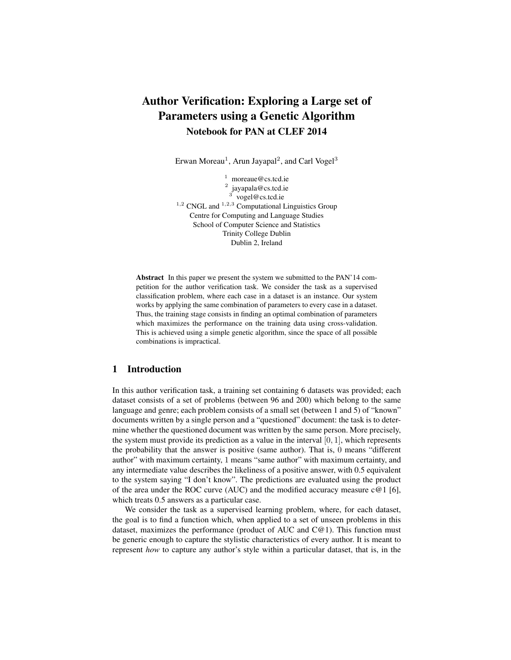# Author Verification: Exploring a Large set of Parameters using a Genetic Algorithm Notebook for PAN at CLEF 2014

Erwan Moreau<sup>1</sup>, Arun Jayapal<sup>2</sup>, and Carl Vogel<sup>3</sup>

<sup>1</sup> moreaue@cs.tcd.ie <sup>2</sup> jayapala@cs.tcd.ie<br><sup>3</sup> vogel@cs.tcd.ie  $1,2$  CNGL and  $1,2,3$  Computational Linguistics Group Centre for Computing and Language Studies School of Computer Science and Statistics Trinity College Dublin Dublin 2, Ireland

Abstract In this paper we present the system we submitted to the PAN'14 competition for the author verification task. We consider the task as a supervised classification problem, where each case in a dataset is an instance. Our system works by applying the same combination of parameters to every case in a dataset. Thus, the training stage consists in finding an optimal combination of parameters which maximizes the performance on the training data using cross-validation. This is achieved using a simple genetic algorithm, since the space of all possible combinations is impractical.

# 1 Introduction

In this author verification task, a training set containing 6 datasets was provided; each dataset consists of a set of problems (between 96 and 200) which belong to the same language and genre; each problem consists of a small set (between 1 and 5) of "known" documents written by a single person and a "questioned" document: the task is to determine whether the questioned document was written by the same person. More precisely, the system must provide its prediction as a value in the interval  $[0, 1]$ , which represents the probability that the answer is positive (same author). That is, 0 means "different author" with maximum certainty, 1 means "same author" with maximum certainty, and any intermediate value describes the likeliness of a positive answer, with 0.5 equivalent to the system saying "I don't know". The predictions are evaluated using the product of the area under the ROC curve (AUC) and the modified accuracy measure  $c@1$  [6], which treats 0.5 answers as a particular case.

We consider the task as a supervised learning problem, where, for each dataset, the goal is to find a function which, when applied to a set of unseen problems in this dataset, maximizes the performance (product of AUC and  $C@1$ ). This function must be generic enough to capture the stylistic characteristics of every author. It is meant to represent *how* to capture any author's style within a particular dataset, that is, in the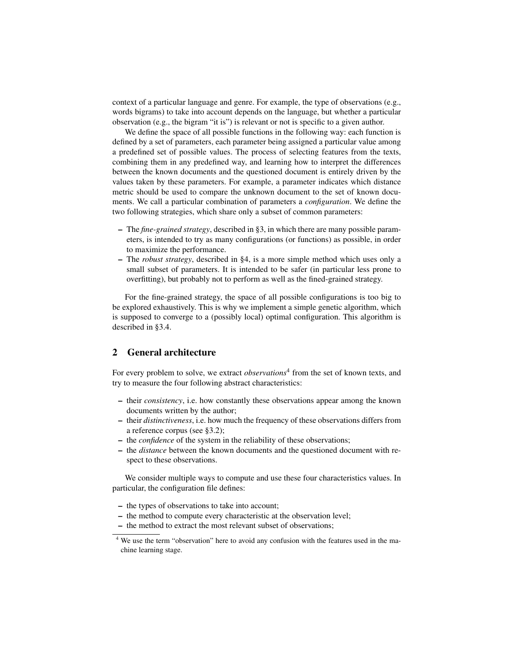context of a particular language and genre. For example, the type of observations (e.g., words bigrams) to take into account depends on the language, but whether a particular observation (e.g., the bigram "it is") is relevant or not is specific to a given author.

We define the space of all possible functions in the following way: each function is defined by a set of parameters, each parameter being assigned a particular value among a predefined set of possible values. The process of selecting features from the texts, combining them in any predefined way, and learning how to interpret the differences between the known documents and the questioned document is entirely driven by the values taken by these parameters. For example, a parameter indicates which distance metric should be used to compare the unknown document to the set of known documents. We call a particular combination of parameters a *configuration*. We define the two following strategies, which share only a subset of common parameters:

- The *fine-grained strategy*, described in §3, in which there are many possible parameters, is intended to try as many configurations (or functions) as possible, in order to maximize the performance.
- The *robust strategy*, described in §4, is a more simple method which uses only a small subset of parameters. It is intended to be safer (in particular less prone to overfitting), but probably not to perform as well as the fined-grained strategy.

For the fine-grained strategy, the space of all possible configurations is too big to be explored exhaustively. This is why we implement a simple genetic algorithm, which is supposed to converge to a (possibly local) optimal configuration. This algorithm is described in §3.4.

# 2 General architecture

For every problem to solve, we extract *observations*<sup>4</sup> from the set of known texts, and try to measure the four following abstract characteristics:

- their *consistency*, i.e. how constantly these observations appear among the known documents written by the author;
- their *distinctiveness*, i.e. how much the frequency of these observations differs from a reference corpus (see §3.2);
- the *confidence* of the system in the reliability of these observations;
- the *distance* between the known documents and the questioned document with respect to these observations.

We consider multiple ways to compute and use these four characteristics values. In particular, the configuration file defines:

- the types of observations to take into account;
- the method to compute every characteristic at the observation level;
- the method to extract the most relevant subset of observations;

<sup>4</sup> We use the term "observation" here to avoid any confusion with the features used in the machine learning stage.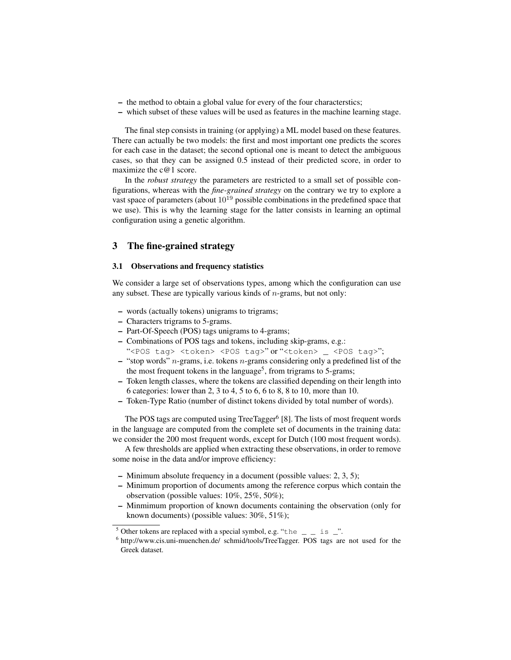- the method to obtain a global value for every of the four characterstics;
- which subset of these values will be used as features in the machine learning stage.

The final step consists in training (or applying) a ML model based on these features. There can actually be two models: the first and most important one predicts the scores for each case in the dataset; the second optional one is meant to detect the ambiguous cases, so that they can be assigned 0.5 instead of their predicted score, in order to maximize the c@1 score.

In the *robust strategy* the parameters are restricted to a small set of possible configurations, whereas with the *fine-grained strategy* on the contrary we try to explore a vast space of parameters (about  $10^{19}$  possible combinations in the predefined space that we use). This is why the learning stage for the latter consists in learning an optimal configuration using a genetic algorithm.

### 3 The fine-grained strategy

#### 3.1 Observations and frequency statistics

We consider a large set of observations types, among which the configuration can use any subset. These are typically various kinds of  $n$ -grams, but not only:

- words (actually tokens) unigrams to trigrams;
- Characters trigrams to 5-grams.
- Part-Of-Speech (POS) tags unigrams to 4-grams;
- Combinations of POS tags and tokens, including skip-grams, e.g.:
- "<POS tag> <token> <POS tag>"or "<token> \_ <POS tag>";
- $-$  "stop words" *n*-grams, i.e. tokens *n*-grams considering only a predefined list of the the most frequent tokens in the language<sup>5</sup>, from trigrams to 5-grams;
- Token length classes, where the tokens are classified depending on their length into 6 categories: lower than 2, 3 to 4, 5 to 6, 6 to 8, 8 to 10, more than 10.
- Token-Type Ratio (number of distinct tokens divided by total number of words).

The POS tags are computed using TreeTagger<sup>6</sup> [8]. The lists of most frequent words in the language are computed from the complete set of documents in the training data: we consider the 200 most frequent words, except for Dutch (100 most frequent words).

A few thresholds are applied when extracting these observations, in order to remove some noise in the data and/or improve efficiency:

- Minimum absolute frequency in a document (possible values: 2, 3, 5);
- Minimum proportion of documents among the reference corpus which contain the observation (possible values: 10%, 25%, 50%);
- Minmimum proportion of known documents containing the observation (only for known documents) (possible values: 30%, 51%);

<sup>&</sup>lt;sup>5</sup> Other tokens are replaced with a special symbol, e.g. "the  $\qquad$  is  $\qquad$ ".

<sup>&</sup>lt;sup>6</sup> http://www.cis.uni-muenchen.de/ schmid/tools/TreeTagger. POS tags are not used for the Greek dataset.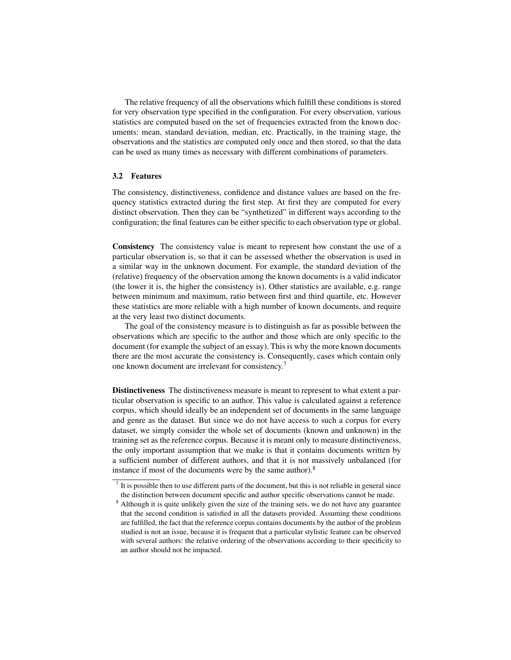The relative frequency of all the observations which fulfill these conditions is stored for very observation type specified in the configuration. For every observation, various statistics are computed based on the set of frequencies extracted from the known documents: mean, standard deviation, median, etc. Practically, in the training stage, the observations and the statistics are computed only once and then stored, so that the data can be used as many times as necessary with different combinations of parameters.

#### 3.2 Features

The consistency, distinctiveness, confidence and distance values are based on the frequency statistics extracted during the first step. At first they are computed for every distinct observation. Then they can be "synthetized" in different ways according to the configuration; the final features can be either specific to each observation type or global.

Consistency The consistency value is meant to represent how constant the use of a particular observation is, so that it can be assessed whether the observation is used in a similar way in the unknown document. For example, the standard deviation of the (relative) frequency of the observation among the known documents is a valid indicator (the lower it is, the higher the consistency is). Other statistics are available, e.g. range between minimum and maximum, ratio between first and third quartile, etc. However these statistics are more reliable with a high number of known documents, and require at the very least two distinct documents.

The goal of the consistency measure is to distinguish as far as possible between the observations which are specific to the author and those which are only specific to the document (for example the subject of an essay). This is why the more known documents there are the most accurate the consistency is. Consequently, cases which contain only one known document are irrelevant for consistency.<sup>7</sup>

Distinctiveness The distinctiveness measure is meant to represent to what extent a particular observation is specific to an author. This value is calculated against a reference corpus, which should ideally be an independent set of documents in the same language and genre as the dataset. But since we do not have access to such a corpus for every dataset, we simply consider the whole set of documents (known and unknown) in the training set as the reference corpus. Because it is meant only to measure distinctiveness, the only important assumption that we make is that it contains documents written by a sufficient number of different authors, and that it is not massively unbalanced (for instance if most of the documents were by the same author).<sup>8</sup>

 $<sup>7</sup>$  It is possible then to use different parts of the document, but this is not reliable in general since</sup> the distinction between document specific and author specific observations cannot be made.

<sup>&</sup>lt;sup>8</sup> Although it is quite unlikely given the size of the training sets, we do not have any guarantee that the second condition is satisfied in all the datasets provided. Assuming these conditions are fulfilled, the fact that the reference corpus contains documents by the author of the problem studied is not an issue, because it is frequent that a particular stylistic feature can be observed with several authors: the relative ordering of the observations according to their specificity to an author should not be impacted.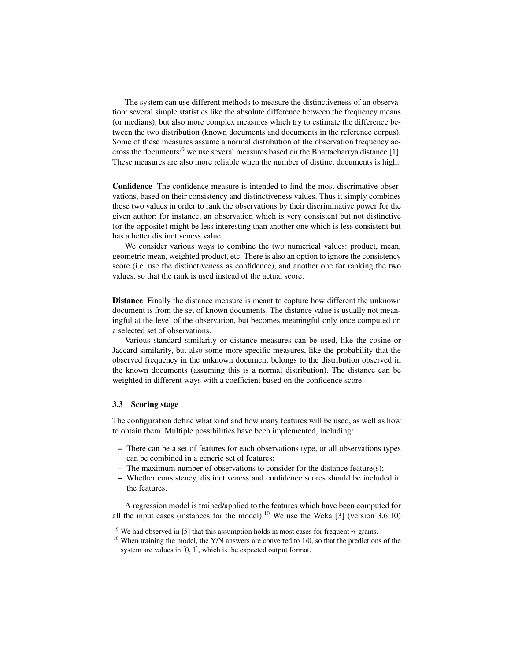The system can use different methods to measure the distinctiveness of an observation: several simple statistics like the absolute difference between the frequency means (or medians), but also more complex measures which try to estimate the difference between the two distribution (known documents and documents in the reference corpus). Some of these measures assume a normal distribution of the observation frequency accross the documents:<sup>9</sup> we use several measures based on the Bhattacharrya distance [1]. These measures are also more reliable when the number of distinct documents is high.

Confidence The confidence measure is intended to find the most discrimative observations, based on their consistency and distinctiveness values. Thus it simply combines these two values in order to rank the observations by their discriminative power for the given author: for instance, an observation which is very consistent but not distinctive (or the opposite) might be less interesting than another one which is less consistent but has a better distinctiveness value.

We consider various ways to combine the two numerical values: product, mean, geometric mean, weighted product, etc. There is also an option to ignore the consistency score (i.e. use the distinctiveness as confidence), and another one for ranking the two values, so that the rank is used instead of the actual score.

Distance Finally the distance measure is meant to capture how different the unknown document is from the set of known documents. The distance value is usually not meaningful at the level of the observation, but becomes meaningful only once computed on a selected set of observations.

Various standard similarity or distance measures can be used, like the cosine or Jaccard similarity, but also some more specific measures, like the probability that the observed frequency in the unknown document belongs to the distribution observed in the known documents (assuming this is a normal distribution). The distance can be weighted in different ways with a coefficient based on the confidence score.

#### 3.3 Scoring stage

The configuration define what kind and how many features will be used, as well as how to obtain them. Multiple possibilities have been implemented, including:

- There can be a set of features for each observations type, or all observations types can be combined in a generic set of features;
- The maximum number of observations to consider for the distance feature(s);
- Whether consistency, distinctiveness and confidence scores should be included in the features.

A regression model is trained/applied to the features which have been computed for all the input cases (instances for the model).<sup>10</sup> We use the Weka [3] (version 3.6.10)

<sup>&</sup>lt;sup>9</sup> We had observed in [5] that this assumption holds in most cases for frequent *n*-grams.

 $10$  When training the model, the Y/N answers are converted to 1/0, so that the predictions of the system are values in [0, 1], which is the expected output format.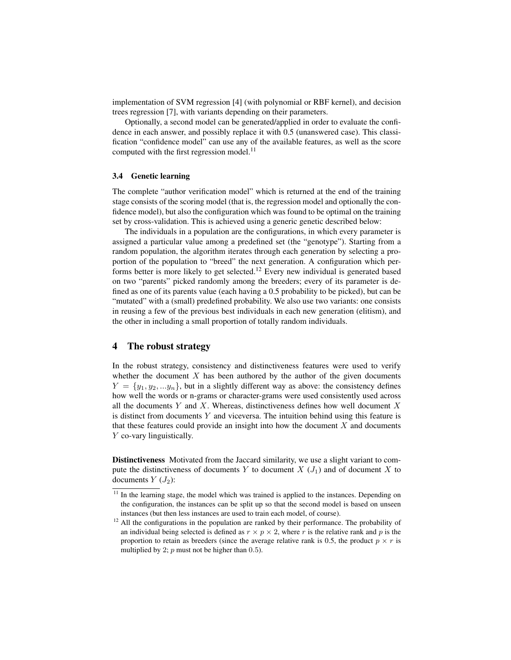implementation of SVM regression [4] (with polynomial or RBF kernel), and decision trees regression [7], with variants depending on their parameters.

Optionally, a second model can be generated/applied in order to evaluate the confidence in each answer, and possibly replace it with 0.5 (unanswered case). This classification "confidence model" can use any of the available features, as well as the score computed with the first regression model. $^{11}$ 

#### 3.4 Genetic learning

The complete "author verification model" which is returned at the end of the training stage consists of the scoring model (that is, the regression model and optionally the confidence model), but also the configuration which was found to be optimal on the training set by cross-validation. This is achieved using a generic genetic described below:

The individuals in a population are the configurations, in which every parameter is assigned a particular value among a predefined set (the "genotype"). Starting from a random population, the algorithm iterates through each generation by selecting a proportion of the population to "breed" the next generation. A configuration which performs better is more likely to get selected.<sup>12</sup> Every new individual is generated based on two "parents" picked randomly among the breeders; every of its parameter is defined as one of its parents value (each having a 0.5 probability to be picked), but can be "mutated" with a (small) predefined probability. We also use two variants: one consists in reusing a few of the previous best individuals in each new generation (elitism), and the other in including a small proportion of totally random individuals.

# 4 The robust strategy

In the robust strategy, consistency and distinctiveness features were used to verify whether the document  $X$  has been authored by the author of the given documents  $Y = \{y_1, y_2, \ldots y_n\}$ , but in a slightly different way as above: the consistency defines how well the words or n-grams or character-grams were used consistently used across all the documents  $Y$  and  $X$ . Whereas, distinctiveness defines how well document  $X$ is distinct from documents  $Y$  and viceversa. The intuition behind using this feature is that these features could provide an insight into how the document  $X$  and documents Y co-vary linguistically.

Distinctiveness Motivated from the Jaccard similarity, we use a slight variant to compute the distinctiveness of documents Y to document X  $(J_1)$  and of document X to documents  $Y(J_2)$ :

<sup>&</sup>lt;sup>11</sup> In the learning stage, the model which was trained is applied to the instances. Depending on the configuration, the instances can be split up so that the second model is based on unseen instances (but then less instances are used to train each model, of course).

<sup>&</sup>lt;sup>12</sup> All the configurations in the population are ranked by their performance. The probability of an individual being selected is defined as  $r \times p \times 2$ , where r is the relative rank and p is the proportion to retain as breeders (since the average relative rank is 0.5, the product  $p \times r$  is multiplied by 2;  $p$  must not be higher than 0.5).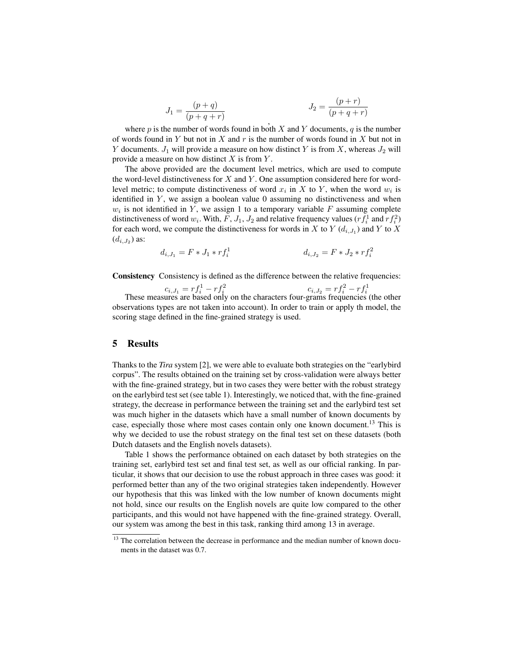$$
J_1 = \frac{(p+q)}{(p+q+r)}
$$
  

$$
J_2 = \frac{(p+r)}{(p+q+r)}
$$

where  $p$  is the number of words found in both  $X$  and  $Y$  documents,  $q$  is the number of words found in Y but not in X and  $r$  is the number of words found in X but not in Y documents.  $J_1$  will provide a measure on how distinct Y is from X, whereas  $J_2$  will provide a measure on how distinct  $X$  is from  $Y$ .

The above provided are the document level metrics, which are used to compute the word-level distinctiveness for  $X$  and  $Y$ . One assumption considered here for wordlevel metric; to compute distinctiveness of word  $x_i$  in X to Y, when the word  $w_i$  is identified in  $Y$ , we assign a boolean value 0 assuming no distinctiveness and when  $w_i$  is not identified in Y, we assign 1 to a temporary variable F assuming complete distinctiveness of word  $w_i$ . With,  $F$ ,  $J_1$ ,  $J_2$  and relative frequency values  $(r f_i^1$  and  $r f_i^2)$ for each word, we compute the distinctiveness for words in X to Y  $(d_{i,J_1})$  and Y to X  $(d_{i,J_2})$  as:

$$
d_{i,J_1} = F * J_1 * rf_i^1
$$
\n
$$
d_{i,J_2} = F * J_2 * rf_i^2
$$

Consistency Consistency is defined as the difference between the relative frequencies:

 $c_{i,J_1} = rf_i^1 - rf_i^2$   $c_{i,J_2} = rf_i^2 - rf_i^1$ <br>These measures are based only on the characters four-grams frequencies (the other observations types are not taken into account). In order to train or apply th model, the scoring stage defined in the fine-grained strategy is used.

## 5 Results

Thanks to the *Tira* system [2], we were able to evaluate both strategies on the "earlybird corpus". The results obtained on the training set by cross-validation were always better with the fine-grained strategy, but in two cases they were better with the robust strategy on the earlybird test set (see table 1). Interestingly, we noticed that, with the fine-grained strategy, the decrease in performance between the training set and the earlybird test set was much higher in the datasets which have a small number of known documents by case, especially those where most cases contain only one known document.<sup>13</sup> This is why we decided to use the robust strategy on the final test set on these datasets (both Dutch datasets and the English novels datasets).

Table 1 shows the performance obtained on each dataset by both strategies on the training set, earlybird test set and final test set, as well as our official ranking. In particular, it shows that our decision to use the robust approach in three cases was good: it performed better than any of the two original strategies taken independently. However our hypothesis that this was linked with the low number of known documents might not hold, since our results on the English novels are quite low compared to the other participants, and this would not have happened with the fine-grained strategy. Overall, our system was among the best in this task, ranking third among 13 in average.

<sup>&</sup>lt;sup>13</sup> The correlation between the decrease in performance and the median number of known documents in the dataset was 0.7.